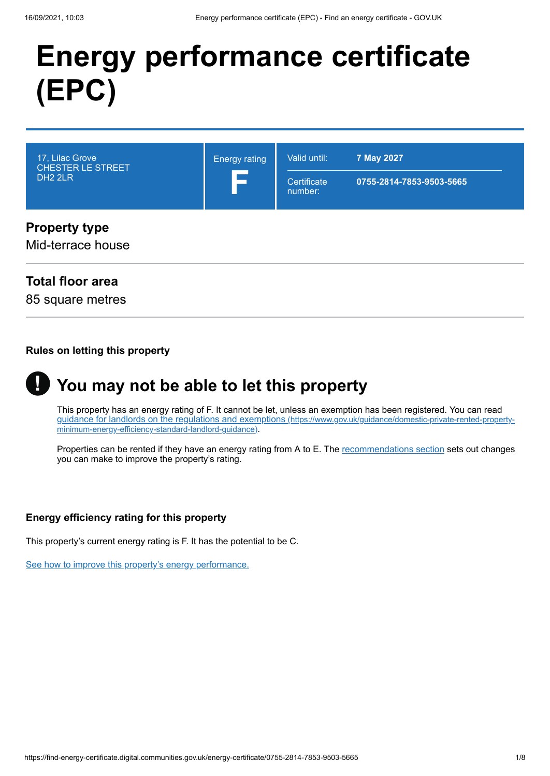# **Energy performance certificate (EPC)**



### **Property type**

Mid-terrace house

### **Total floor area**

85 square metres

#### **Rules on letting this property**



# **You may not be able to let this property**

This property has an energy rating of F. It cannot be let, unless an exemption has been registered. You can read [guidance for landlords on the regulations and exemptions](https://www.gov.uk/guidance/domestic-private-rented-property-minimum-energy-efficiency-standard-landlord-guidance) (https://www.gov.uk/guidance/domestic-private-rented-propertyminimum-energy-efficiency-standard-landlord-guidance).

Properties can be rented if they have an energy rating from A to E. The [recommendations section](#page-3-0) sets out changes you can make to improve the property's rating.

### **Energy efficiency rating for this property**

This property's current energy rating is F. It has the potential to be C.

[See how to improve this property's energy performance.](#page-3-0)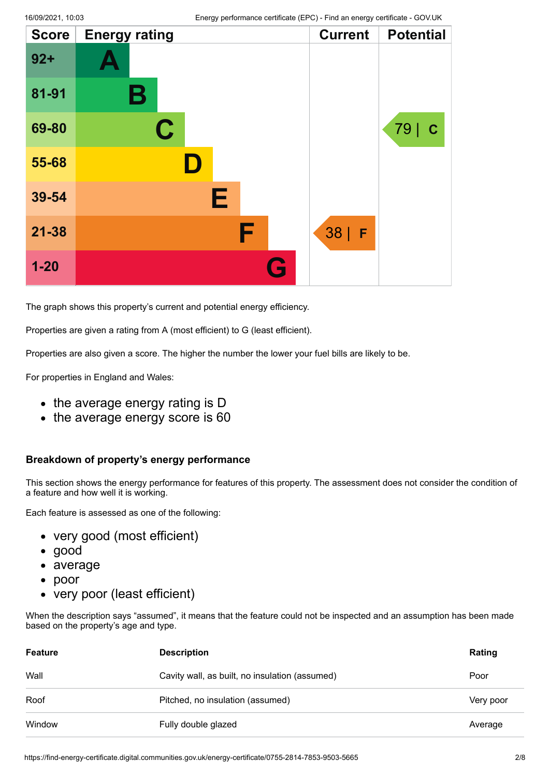| <b>Score</b> | <b>Energy rating</b> |   | <b>Current</b> | <b>Potential</b> |
|--------------|----------------------|---|----------------|------------------|
| $92 +$       |                      |   |                |                  |
| 81-91        | Β                    |   |                |                  |
| 69-80        | $\mathbf C$          |   |                | 79   C           |
| 55-68        | D.                   |   |                |                  |
| 39-54        | Е                    |   |                |                  |
| $21 - 38$    |                      | F | $38$   F       |                  |
| $1 - 20$     |                      | G |                |                  |

The graph shows this property's current and potential energy efficiency.

Properties are given a rating from A (most efficient) to G (least efficient).

Properties are also given a score. The higher the number the lower your fuel bills are likely to be.

For properties in England and Wales:

- the average energy rating is D
- the average energy score is 60

#### **Breakdown of property's energy performance**

This section shows the energy performance for features of this property. The assessment does not consider the condition of a feature and how well it is working.

Each feature is assessed as one of the following:

- very good (most efficient)
- good
- average
- poor  $\bullet$
- very poor (least efficient)

When the description says "assumed", it means that the feature could not be inspected and an assumption has been made based on the property's age and type.

| <b>Feature</b> | <b>Description</b>                             | Rating    |
|----------------|------------------------------------------------|-----------|
| Wall           | Cavity wall, as built, no insulation (assumed) | Poor      |
| Roof           | Pitched, no insulation (assumed)               | Very poor |
| Window         | Fully double glazed                            | Average   |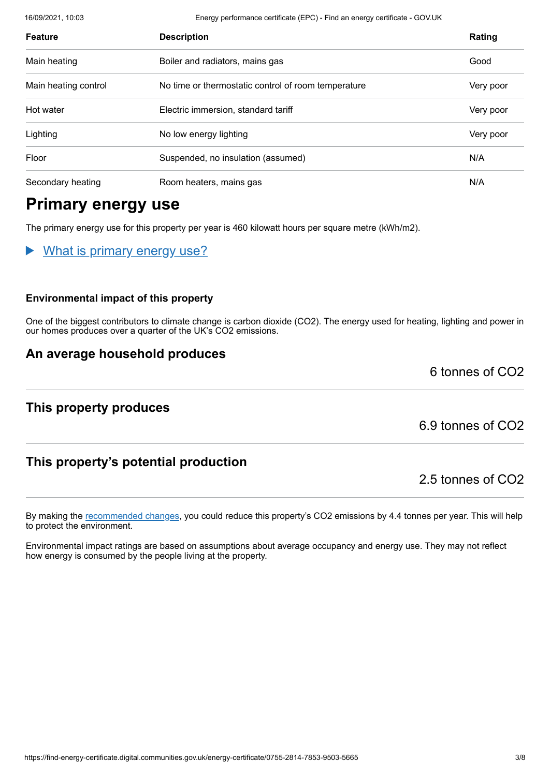16/09/2021, 10:03 Energy performance certificate (EPC) - Find an energy certificate - GOV.UK

| <b>Feature</b>       | <b>Description</b>                                  | Rating    |
|----------------------|-----------------------------------------------------|-----------|
| Main heating         | Boiler and radiators, mains gas                     | Good      |
| Main heating control | No time or thermostatic control of room temperature | Very poor |
| Hot water            | Electric immersion, standard tariff                 | Very poor |
| Lighting             | No low energy lighting                              | Very poor |
| Floor                | Suspended, no insulation (assumed)                  | N/A       |
| Secondary heating    | Room heaters, mains gas                             | N/A       |

# **Primary energy use**

The primary energy use for this property per year is 460 kilowatt hours per square metre (kWh/m2).

### What is primary energy use?

#### **Environmental impact of this property**

One of the biggest contributors to climate change is carbon dioxide (CO2). The energy used for heating, lighting and power in our homes produces over a quarter of the UK's CO2 emissions.

### **An average household produces**

### **This property produces**

6.9 tonnes of CO2

6 tonnes of CO2

## **This property's potential production**

2.5 tonnes of CO2

By making the [recommended changes](#page-3-0), you could reduce this property's CO2 emissions by 4.4 tonnes per year. This will help to protect the environment.

Environmental impact ratings are based on assumptions about average occupancy and energy use. They may not reflect how energy is consumed by the people living at the property.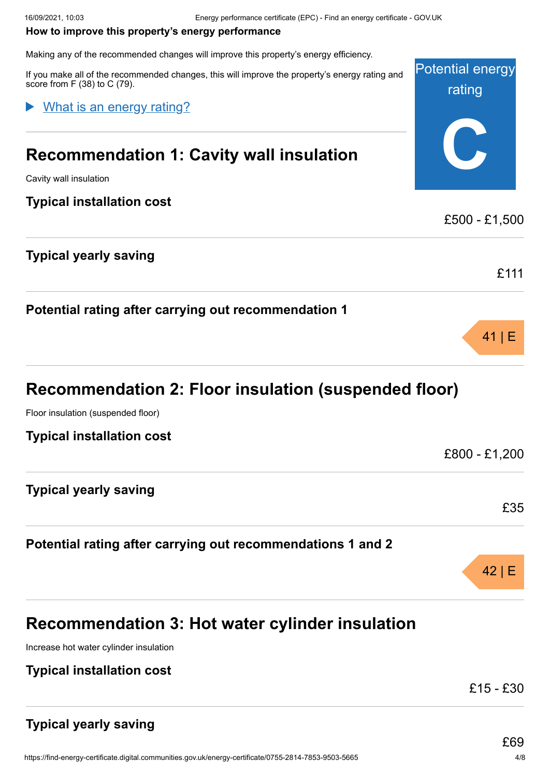#### <span id="page-3-0"></span>**How to improve this property's energy performance**

Making any of the recommended changes will improve this property's energy efficiency.

Potential energy rating **C** If you make all of the recommended changes, this will improve the property's energy rating and score from F (38) to C (79). **Recommendation 1: Cavity wall insulation** Cavity wall insulation **Typical installation cost** £500 - £1,500 **Typical yearly saving** £111 **Potential rating after carrying out recommendation 1** 41 | E **Recommendation 2: Floor insulation (suspended floor)** Floor insulation (suspended floor) **Typical installation cost** £800 - £1,200 What is an energy rating?

**Typical yearly saving**

**Potential rating after carrying out recommendations 1 and 2**

**Recommendation 3: Hot water cylinder insulation**

Increase hot water cylinder insulation

**Typical installation cost**

£15 - £30

# **Typical yearly saving**

£35

42 | E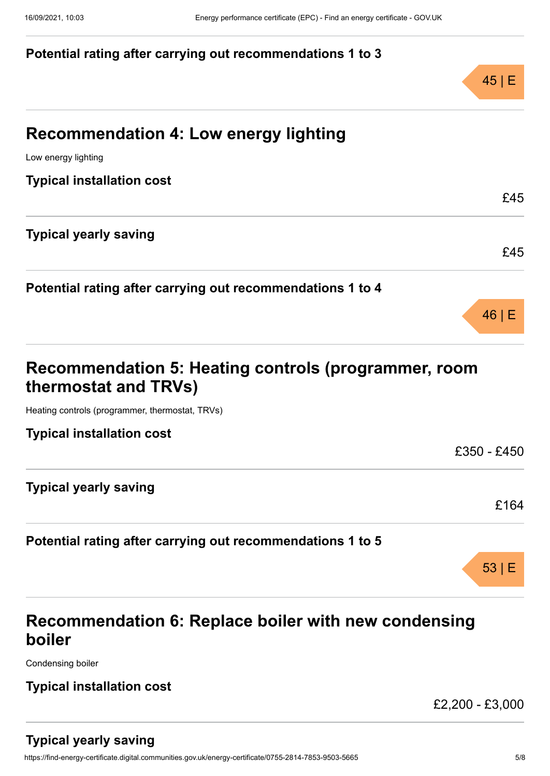### **Potential rating after carrying out recommendations 1 to 3**



£45

£45

46 | E

# **Recommendation 4: Low energy lighting**

Low energy lighting

**Typical installation cost**

**Typical yearly saving**

**Potential rating after carrying out recommendations 1 to 4**

| Recommendation 5: Heating controls (programmer, room |
|------------------------------------------------------|
| thermostat and TRVs)                                 |

Heating controls (programmer, thermostat, TRVs)

| <b>Typical installation cost</b>                           |             |
|------------------------------------------------------------|-------------|
|                                                            | £350 - £450 |
| <b>Typical yearly saving</b>                               |             |
|                                                            | £164        |
| Potential rating after carrying out recommendations 1 to 5 |             |
|                                                            |             |

# **Recommendation 6: Replace boiler with new condensing boiler**

Condensing boiler

### **Typical installation cost**

£2,200 - £3,000

53 | E

### **Typical yearly saving**

https://find-energy-certificate.digital.communities.gov.uk/energy-certificate/0755-2814-7853-9503-5665 5/8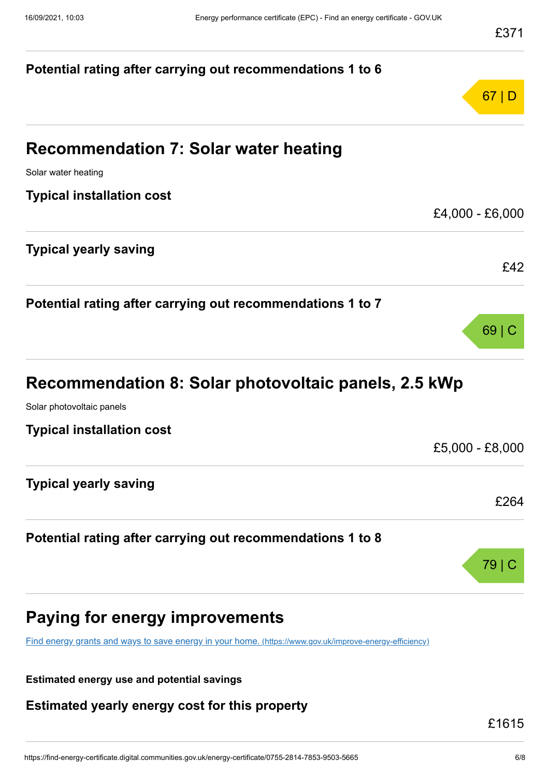

[Find energy grants and ways to save energy in your home.](https://www.gov.uk/improve-energy-efficiency) (https://www.gov.uk/improve-energy-efficiency)

**Estimated energy use and potential savings**

**Estimated yearly energy cost for this property**

£1615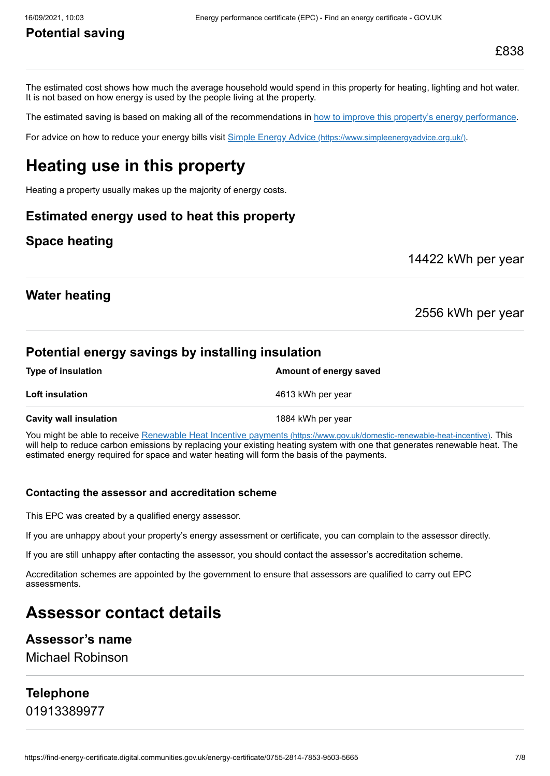# **Potential saving**

The estimated cost shows how much the average household would spend in this property for heating, lighting and hot water. It is not based on how energy is used by the people living at the property.

The estimated saving is based on making all of the recommendations in [how to improve this property's energy performance.](#page-3-0)

For advice on how to reduce your energy bills visit Simple Energy Advice [\(https://www.simpleenergyadvice.org.uk/\)](https://www.simpleenergyadvice.org.uk/).

# **Heating use in this property**

Heating a property usually makes up the majority of energy costs.

### **Estimated energy used to heat this property**

### **Space heating**

14422 kWh per year

### **Water heating**

2556 kWh per year

### **Potential energy savings by installing insulation**

| <b>Type of insulation</b>     | Amount of energy saved |
|-------------------------------|------------------------|
| <b>Loft insulation</b>        | 4613 kWh per year      |
| <b>Cavity wall insulation</b> | 1884 kWh per year      |

You might be able to receive Renewable Heat Incentive payments [\(https://www.gov.uk/domestic-renewable-heat-incentive\)](https://www.gov.uk/domestic-renewable-heat-incentive). This will help to reduce carbon emissions by replacing your existing heating system with one that generates renewable heat. The estimated energy required for space and water heating will form the basis of the payments.

#### **Contacting the assessor and accreditation scheme**

This EPC was created by a qualified energy assessor.

If you are unhappy about your property's energy assessment or certificate, you can complain to the assessor directly.

If you are still unhappy after contacting the assessor, you should contact the assessor's accreditation scheme.

Accreditation schemes are appointed by the government to ensure that assessors are qualified to carry out EPC assessments.

# **Assessor contact details**

### **Assessor's name**

Michael Robinson

### **Telephone**

01913389977